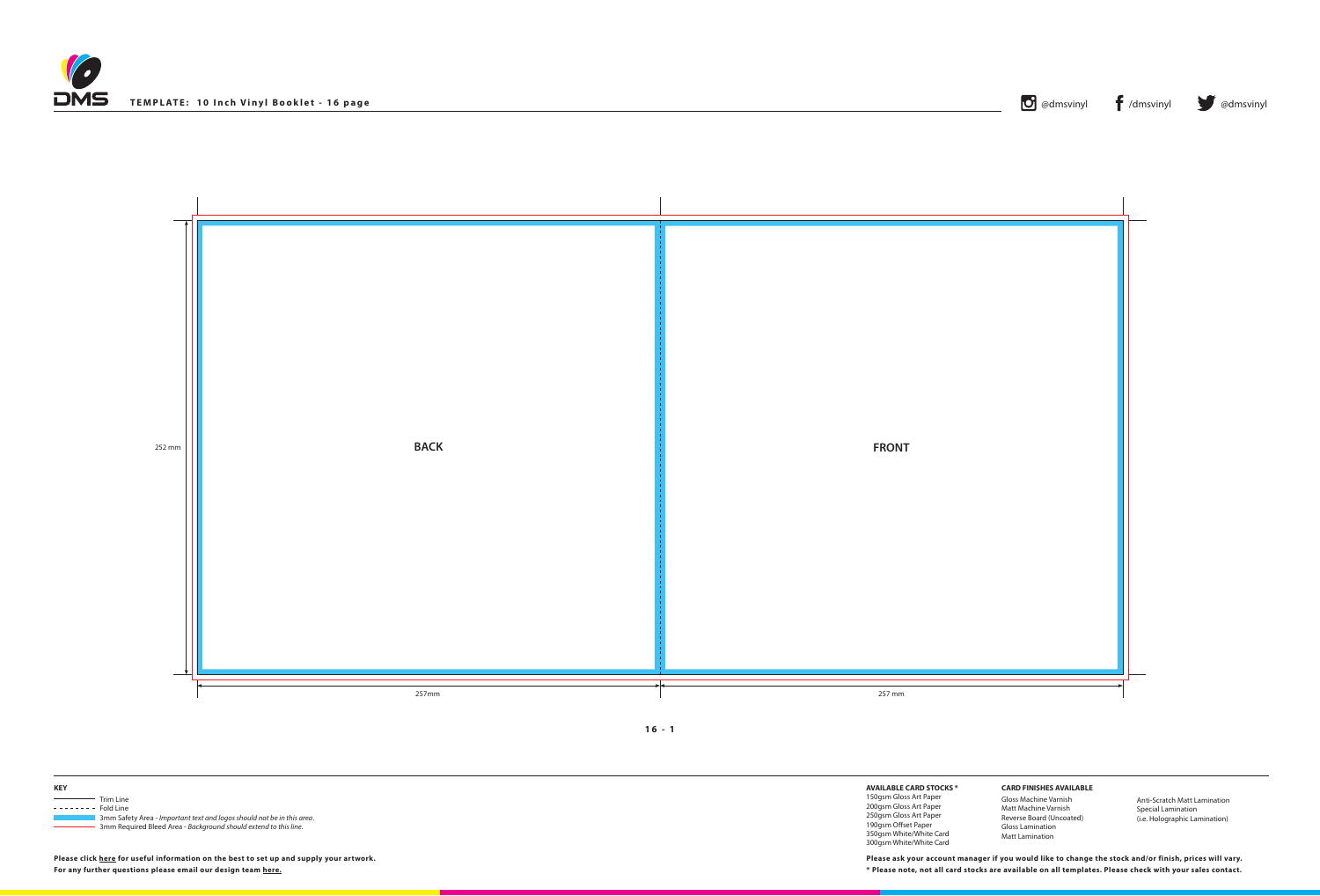

**16 - 1**







**AVAILABLE CARD STOCKS \***

150gsm Gloss Art Paper 200gsm Gloss Art Paper 250gsm Gloss Art Paper 190gsm Offset Paper 350gsm White/White Card 300gsm White/White Card

**For any further questions please email our design team [here](mailto:graphics%40discmanufacturingservices.com?subject=Template%20Enquiry). \* Please note, not all card stocks are available on all templates. Please check with your sales contact. Please ask your account manager if you would like to change the stock and/or finish, prices will vary.**





**CARD FINISHES AVAILABLE**

Gloss Machine Varnish Matt Machine Varnish Reverse Board (Uncoated) Gloss Lamination Matt Lamination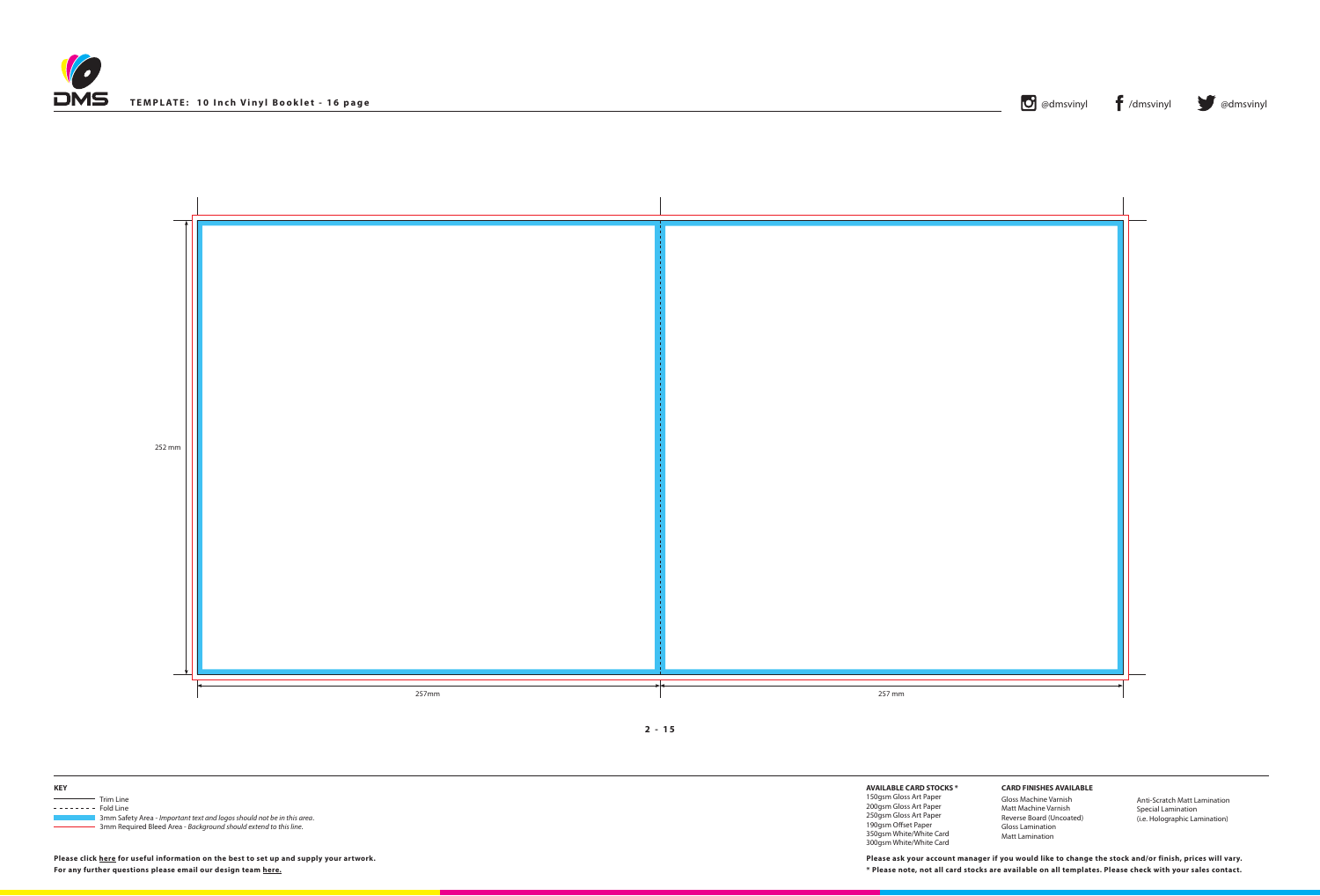



![](_page_1_Picture_0.jpeg)

![](_page_1_Figure_2.jpeg)

**AVAILABLE CARD STOCKS \***

150gsm Gloss Art Paper 200gsm Gloss Art Paper 250gsm Gloss Art Paper 190gsm Offset Paper 350gsm White/White Card 300gsm White/White Card

**For any further questions please email our design team [here](mailto:graphics%40discmanufacturingservices.com?subject=Template%20Enquiry). \* Please note, not all card stocks are available on all templates. Please check with your sales contact. Please ask your account manager if you would like to change the stock and/or finish, prices will vary.**

![](_page_1_Picture_12.jpeg)

**CARD FINISHES AVAILABLE**

Gloss Machine Varnish Matt Machine Varnish Reverse Board (Uncoated) Gloss Lamination Matt Lamination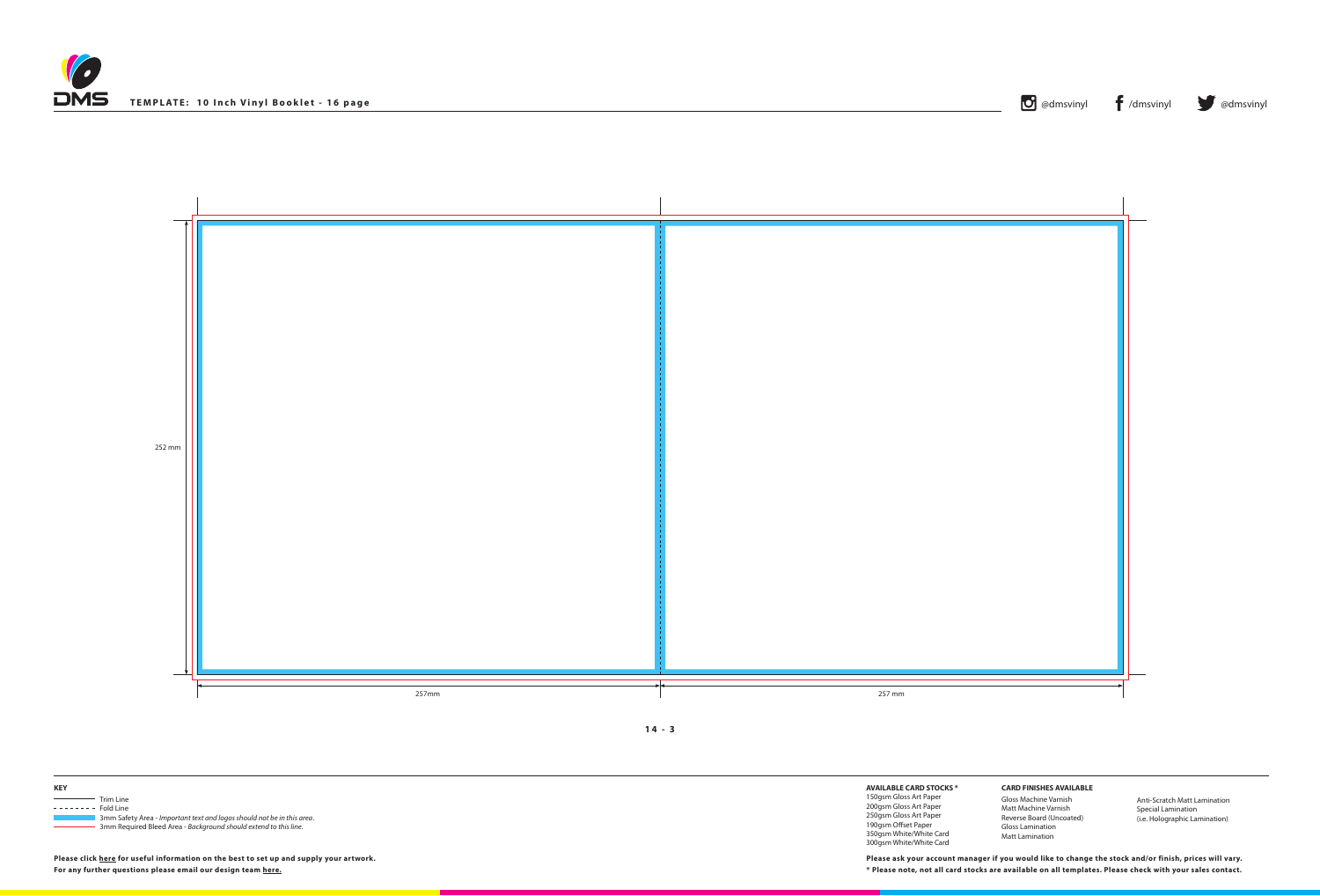![](_page_2_Picture_14.jpeg)

![](_page_2_Figure_1.jpeg)

**14 - 3**

![](_page_2_Picture_0.jpeg)

![](_page_2_Figure_2.jpeg)

**Please click [here](http://www.discmanufacturingservices.com/vinyl-templates.htm#artwork-specifications) for useful information on the best to set up and supply your artwork.**

**AVAILABLE CARD STOCKS \***

150gsm Gloss Art Paper 200gsm Gloss Art Paper 250gsm Gloss Art Paper 190gsm Offset Paper 350gsm White/White Card 300gsm White/White Card

**For any further questions please email our design team [here](mailto:graphics%40discmanufacturingservices.com?subject=Template%20Enquiry). \* Please note, not all card stocks are available on all templates. Please check with your sales contact. Please ask your account manager if you would like to change the stock and/or finish, prices will vary.**

![](_page_2_Picture_13.jpeg)

**CARD FINISHES AVAILABLE**

Gloss Machine Varnish Matt Machine Varnish Reverse Board (Uncoated) Gloss Lamination Matt Lamination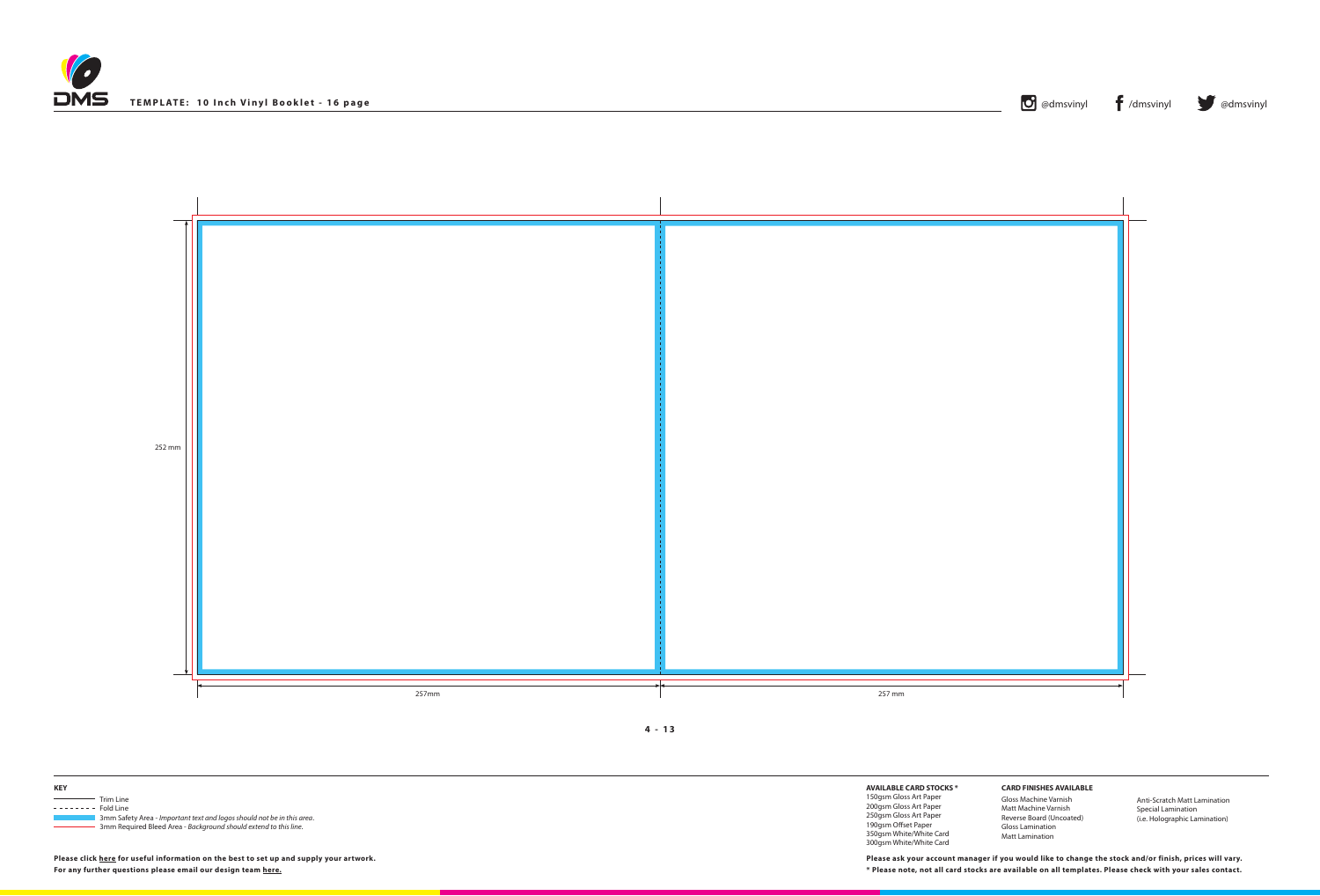![](_page_3_Picture_14.jpeg)

![](_page_3_Figure_1.jpeg)

**4 - 13**

![](_page_3_Picture_0.jpeg)

![](_page_3_Figure_2.jpeg)

**Please click [here](http://www.discmanufacturingservices.com/vinyl-templates.htm#artwork-specifications) for useful information on the best to set up and supply your artwork.**

**AVAILABLE CARD STOCKS \***

150gsm Gloss Art Paper 200gsm Gloss Art Paper 250gsm Gloss Art Paper 190gsm Offset Paper 350gsm White/White Card 300gsm White/White Card

**For any further questions please email our design team [here](mailto:graphics%40discmanufacturingservices.com?subject=Template%20Enquiry). \* Please note, not all card stocks are available on all templates. Please check with your sales contact. Please ask your account manager if you would like to change the stock and/or finish, prices will vary.**

![](_page_3_Picture_13.jpeg)

**CARD FINISHES AVAILABLE**

Gloss Machine Varnish Matt Machine Varnish Reverse Board (Uncoated) Gloss Lamination Matt Lamination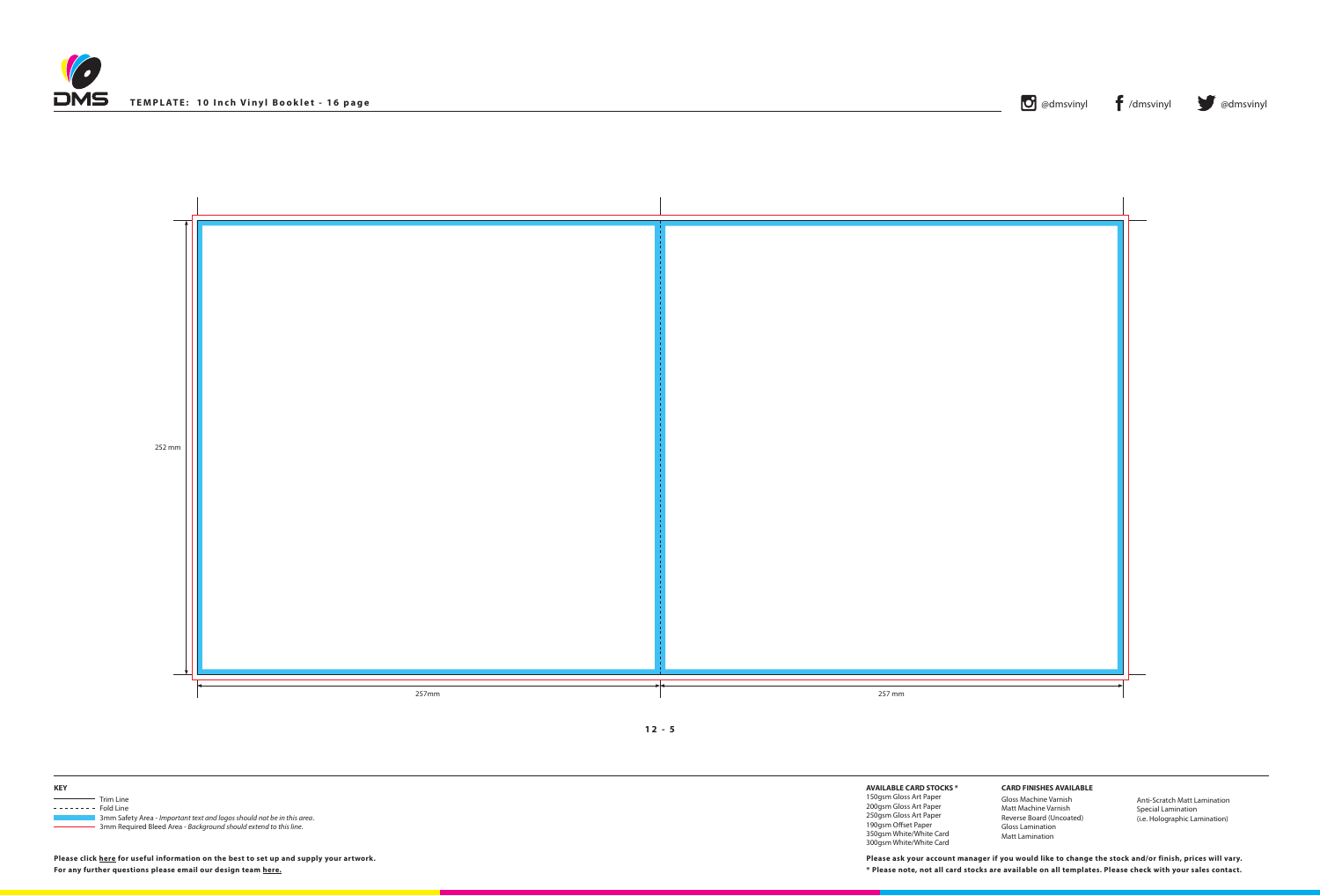![](_page_4_Picture_14.jpeg)

![](_page_4_Figure_1.jpeg)

**12 - 5**

![](_page_4_Picture_0.jpeg)

![](_page_4_Figure_2.jpeg)

**Please click [here](http://www.discmanufacturingservices.com/vinyl-templates.htm#artwork-specifications) for useful information on the best to set up and supply your artwork.**

| 711 |  |
|-----|--|
|     |  |

**AVAILABLE CARD STOCKS \***

150gsm Gloss Art Paper 200gsm Gloss Art Paper 250gsm Gloss Art Paper 190gsm Offset Paper 350gsm White/White Card 300gsm White/White Card

**For any further questions please email our design team [here](mailto:graphics%40discmanufacturingservices.com?subject=Template%20Enquiry). \* Please note, not all card stocks are available on all templates. Please check with your sales contact. Please ask your account manager if you would like to change the stock and/or finish, prices will vary.**

![](_page_4_Picture_13.jpeg)

**CARD FINISHES AVAILABLE**

Gloss Machine Varnish Matt Machine Varnish Reverse Board (Uncoated) Gloss Lamination Matt Lamination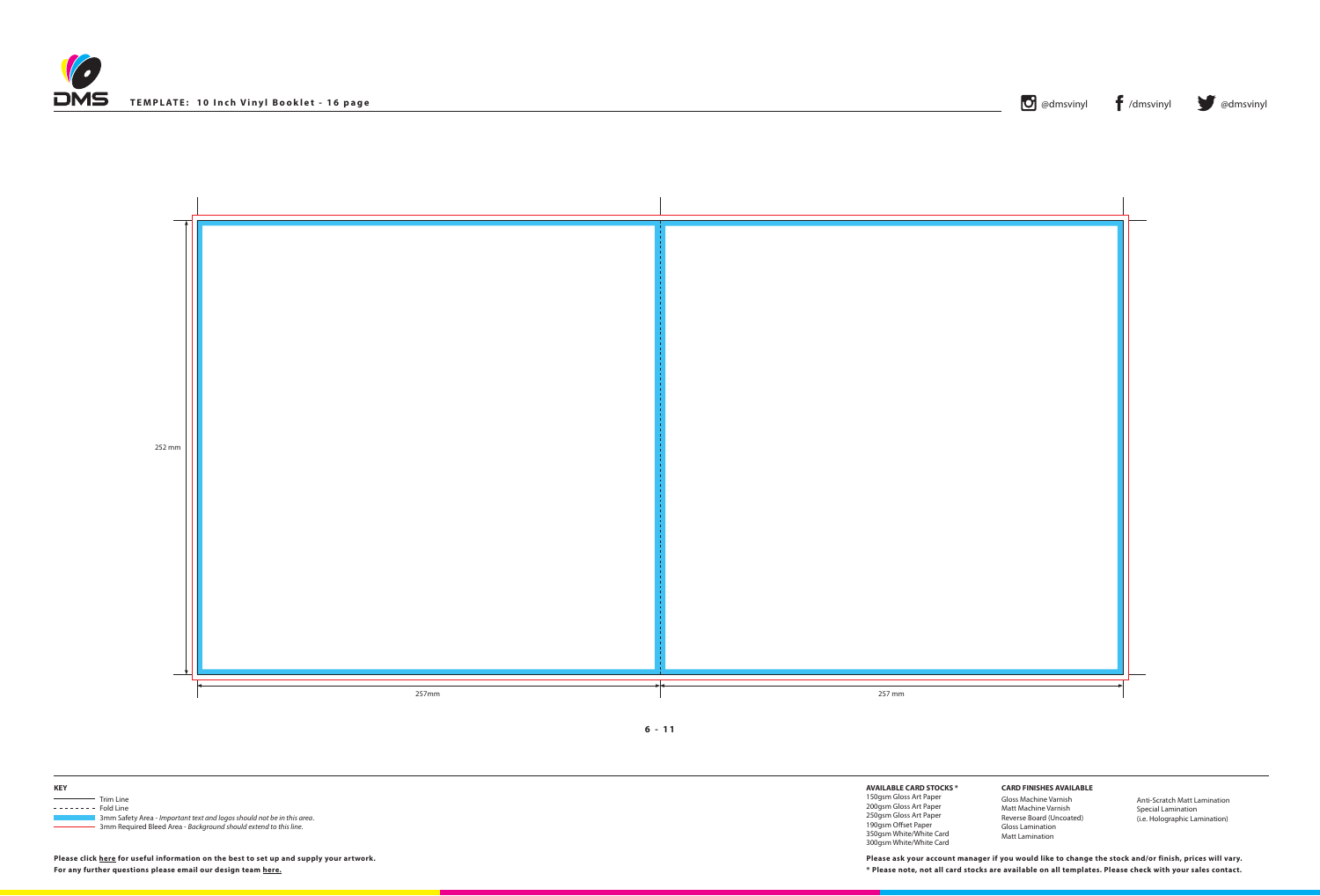![](_page_5_Picture_13.jpeg)

![](_page_5_Figure_1.jpeg)

![](_page_5_Picture_0.jpeg)

![](_page_5_Figure_2.jpeg)

| 711 |  |
|-----|--|
|     |  |

**AVAILABLE CARD STOCKS \***

150gsm Gloss Art Paper 200gsm Gloss Art Paper 250gsm Gloss Art Paper 190gsm Offset Paper 350gsm White/White Card 300gsm White/White Card

**For any further questions please email our design team [here](mailto:graphics%40discmanufacturingservices.com?subject=Template%20Enquiry). \* Please note, not all card stocks are available on all templates. Please check with your sales contact. Please ask your account manager if you would like to change the stock and/or finish, prices will vary.**

![](_page_5_Picture_12.jpeg)

## **CARD FINISHES AVAILABLE**

Gloss Machine Varnish Matt Machine Varnish Reverse Board (Uncoated) Gloss Lamination Matt Lamination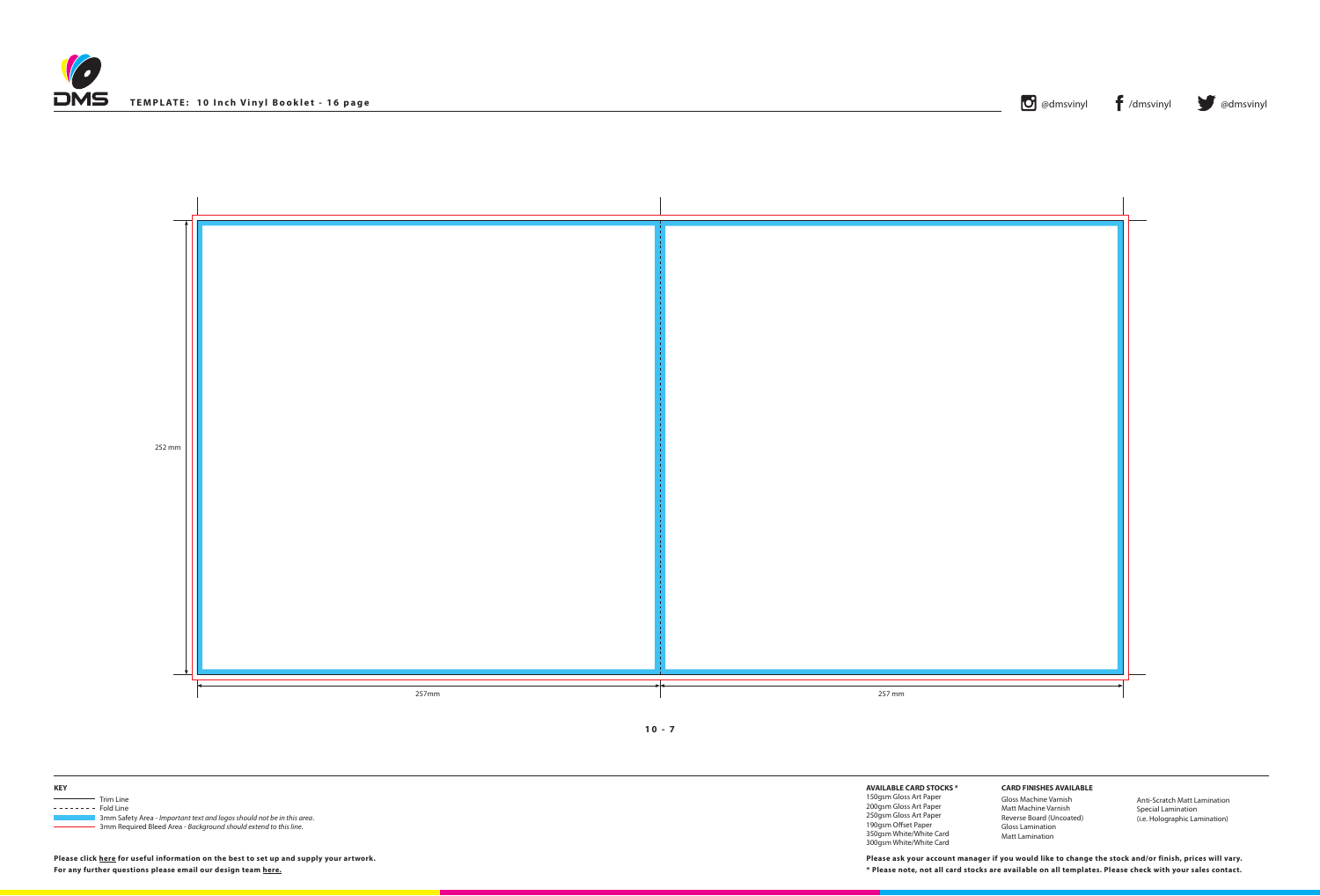![](_page_6_Picture_13.jpeg)

![](_page_6_Figure_1.jpeg)

![](_page_6_Picture_0.jpeg)

![](_page_6_Figure_2.jpeg)

**AVAILABLE CARD STOCKS \***

150gsm Gloss Art Paper 200gsm Gloss Art Paper 250gsm Gloss Art Paper 190gsm Offset Paper 350gsm White/White Card 300gsm White/White Card

**For any further questions please email our design team [here](mailto:graphics%40discmanufacturingservices.com?subject=Template%20Enquiry). \* Please note, not all card stocks are available on all templates. Please check with your sales contact. Please ask your account manager if you would like to change the stock and/or finish, prices will vary.**

![](_page_6_Picture_12.jpeg)

## **CARD FINISHES AVAILABLE**

Gloss Machine Varnish Matt Machine Varnish Reverse Board (Uncoated) Gloss Lamination Matt Lamination